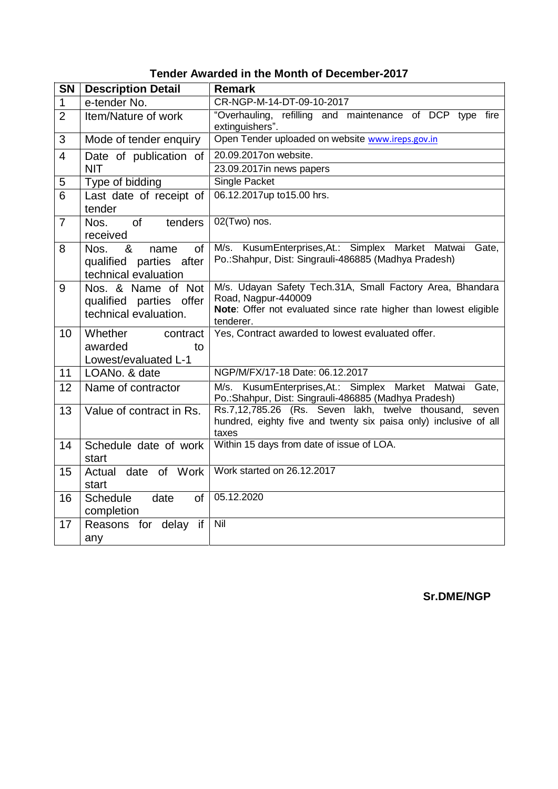| Tender Awarded in the Month of December-2017 |  |  |
|----------------------------------------------|--|--|
|----------------------------------------------|--|--|

| <b>SN</b>                                | <b>Description Detail</b>                                                  | <b>Remark</b>                                                                                                                                                     |  |
|------------------------------------------|----------------------------------------------------------------------------|-------------------------------------------------------------------------------------------------------------------------------------------------------------------|--|
| 1                                        | e-tender No.                                                               | CR-NGP-M-14-DT-09-10-2017                                                                                                                                         |  |
| $\overline{2}$                           | Item/Nature of work                                                        | "Overhauling, refilling and maintenance of DCP type fire<br>extinguishers".                                                                                       |  |
| 3                                        | Mode of tender enquiry                                                     | Open Tender uploaded on website www.ireps.gov.in                                                                                                                  |  |
| $\overline{4}$<br>Date of publication of |                                                                            | 20.09.2017on website.                                                                                                                                             |  |
|                                          | <b>NIT</b>                                                                 | 23.09.2017in news papers                                                                                                                                          |  |
| 5                                        | Type of bidding                                                            | Single Packet                                                                                                                                                     |  |
| 6                                        | Last date of receipt of<br>tender                                          | 06.12.2017up to15.00 hrs.                                                                                                                                         |  |
| $\overline{7}$                           | Nos.<br>of<br>tenders<br>received                                          | 02(Two) nos.                                                                                                                                                      |  |
| 8                                        | &<br>of<br>Nos.<br>name<br>qualified parties after<br>technical evaluation | M/s. KusumEnterprises, At.: Simplex Market Matwai<br>Gate,<br>Po.: Shahpur, Dist: Singrauli-486885 (Madhya Pradesh)                                               |  |
| 9                                        | Nos. & Name of Not<br>qualified parties offer<br>technical evaluation.     | M/s. Udayan Safety Tech.31A, Small Factory Area, Bhandara<br>Road, Nagpur-440009<br>Note: Offer not evaluated since rate higher than lowest eligible<br>tenderer. |  |
| 10                                       | Whether<br>contract<br>awarded<br>to<br>Lowest/evaluated L-1               | Yes, Contract awarded to lowest evaluated offer.                                                                                                                  |  |
| 11                                       | LOANo. & date                                                              | NGP/M/FX/17-18 Date: 06.12.2017                                                                                                                                   |  |
| 12                                       | Name of contractor                                                         | M/s. KusumEnterprises, At.: Simplex Market Matwai<br>Gate,<br>Po.: Shahpur, Dist: Singrauli-486885 (Madhya Pradesh)                                               |  |
| 13                                       | Value of contract in Rs.                                                   | Rs.7,12,785.26 (Rs. Seven lakh, twelve thousand,<br>seven<br>hundred, eighty five and twenty six paisa only) inclusive of all<br>taxes                            |  |
| 14                                       | Schedule date of work<br>start                                             | Within 15 days from date of issue of LOA.                                                                                                                         |  |
| 15                                       | date of Work<br>Actual<br>start                                            | Work started on 26.12.2017                                                                                                                                        |  |
| 16                                       | <b>Schedule</b><br>date<br>of<br>completion                                | 05.12.2020                                                                                                                                                        |  |
| 17                                       | Reasons for delay if<br>any                                                | Nil                                                                                                                                                               |  |

**Sr.DME/NGP**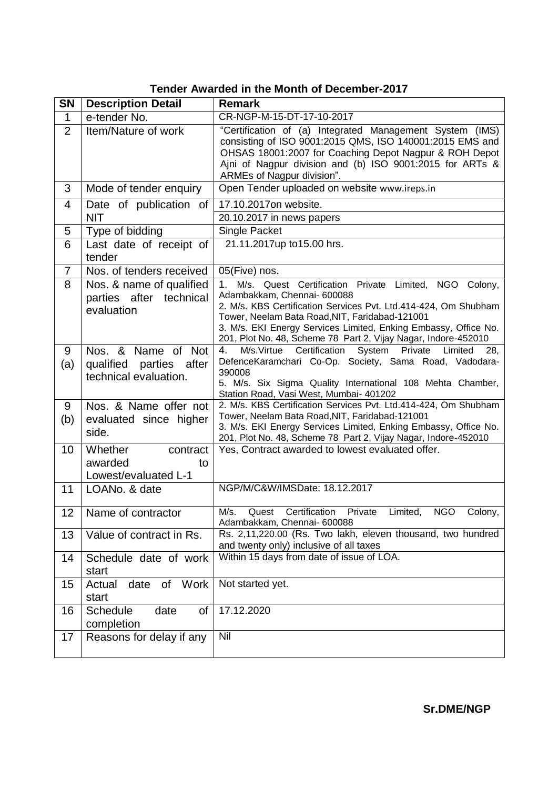| Tender Awarded in the Month of December-2017 |  |  |  |
|----------------------------------------------|--|--|--|
|----------------------------------------------|--|--|--|

| <b>SN</b>       | <b>Description Detail</b>                                              | <b>Remark</b>                                                                                                                                                                                                                                                                                                                                             |  |
|-----------------|------------------------------------------------------------------------|-----------------------------------------------------------------------------------------------------------------------------------------------------------------------------------------------------------------------------------------------------------------------------------------------------------------------------------------------------------|--|
| $\mathbf{1}$    | e-tender No.                                                           | CR-NGP-M-15-DT-17-10-2017                                                                                                                                                                                                                                                                                                                                 |  |
| $\overline{2}$  | Item/Nature of work                                                    | "Certification of (a) Integrated Management System (IMS)<br>consisting of ISO 9001:2015 QMS, ISO 140001:2015 EMS and<br>OHSAS 18001:2007 for Coaching Depot Nagpur & ROH Depot<br>Aini of Nagpur division and (b) ISO 9001:2015 for ARTs &<br>ARMEs of Nagpur division".                                                                                  |  |
| 3               | Mode of tender enquiry                                                 | Open Tender uploaded on website www.ireps.in                                                                                                                                                                                                                                                                                                              |  |
| 4               | Date of publication of                                                 | 17.10.2017on website.                                                                                                                                                                                                                                                                                                                                     |  |
|                 | <b>NIT</b>                                                             | 20.10.2017 in news papers                                                                                                                                                                                                                                                                                                                                 |  |
| 5               | Type of bidding                                                        | Single Packet                                                                                                                                                                                                                                                                                                                                             |  |
| 6               | Last date of receipt of<br>tender                                      | 21.11.2017up to15.00 hrs.                                                                                                                                                                                                                                                                                                                                 |  |
| $\overline{7}$  | Nos. of tenders received                                               | 05(Five) nos.                                                                                                                                                                                                                                                                                                                                             |  |
| 8               | Nos. & name of qualified<br>parties after technical<br>evaluation      | $1_{-}$<br>M/s. Quest Certification Private Limited, NGO Colony,<br>Adambakkam, Chennai- 600088<br>2. M/s. KBS Certification Services Pvt. Ltd.414-424, Om Shubham<br>Tower, Neelam Bata Road, NIT, Faridabad-121001<br>3. M/s. EKI Energy Services Limited, Enking Embassy, Office No.<br>201, Plot No. 48, Scheme 78 Part 2, Vijay Nagar, Indore-452010 |  |
| 9<br>(a)        | Nos. & Name of Not<br>qualified parties after<br>technical evaluation. | M/s.Virtue Certification<br>System Private<br>4.<br>Limited<br>28,<br>DefenceKaramchari Co-Op. Society, Sama Road, Vadodara-<br>390008<br>5. M/s. Six Sigma Quality International 108 Mehta Chamber,<br>Station Road, Vasi West, Mumbai- 401202                                                                                                           |  |
| 9<br>(b)        | Nos. & Name offer not<br>evaluated since higher<br>side.               | 2. M/s. KBS Certification Services Pvt. Ltd.414-424, Om Shubham<br>Tower, Neelam Bata Road, NIT, Faridabad-121001<br>3. M/s. EKI Energy Services Limited, Enking Embassy, Office No.<br>201, Plot No. 48, Scheme 78 Part 2, Vijay Nagar, Indore-452010                                                                                                    |  |
| 10              | Whether<br>contract<br>awarded<br>to<br>Lowest/evaluated L-1           | Yes, Contract awarded to lowest evaluated offer.                                                                                                                                                                                                                                                                                                          |  |
| 11              | LOANo. & date                                                          | NGP/M/C&W/IMSDate: 18.12.2017                                                                                                                                                                                                                                                                                                                             |  |
| 12 <sub>2</sub> | Name of contractor                                                     | <b>NGO</b><br>M/s.<br>Certification<br>Private<br>Limited,<br>Colony,<br>Quest<br>Adambakkam, Chennai- 600088                                                                                                                                                                                                                                             |  |
| 13              | Value of contract in Rs.                                               | Rs. 2,11,220.00 (Rs. Two lakh, eleven thousand, two hundred<br>and twenty only) inclusive of all taxes                                                                                                                                                                                                                                                    |  |
| 14              | Schedule date of work<br>start                                         | Within 15 days from date of issue of LOA.                                                                                                                                                                                                                                                                                                                 |  |
| 15              | of Work<br>Actual<br>date<br>start                                     | Not started yet.                                                                                                                                                                                                                                                                                                                                          |  |
| 16              | <b>Schedule</b><br>date<br>of<br>completion                            | 17.12.2020                                                                                                                                                                                                                                                                                                                                                |  |
| 17              | Reasons for delay if any                                               | Nil                                                                                                                                                                                                                                                                                                                                                       |  |